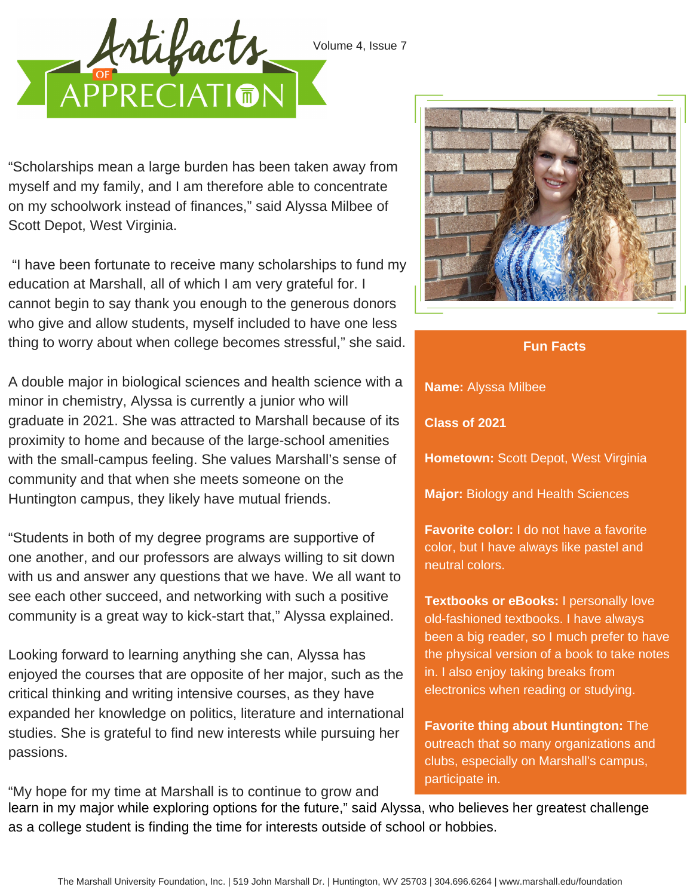Volume 4, Issue 7



"Scholarships mean a large burden has been taken away from myself and my family, and I am therefore able to concentrate on my schoolwork instead of finances," said Alyssa Milbee of Scott Depot, West Virginia.

"I have been fortunate to receive many scholarships to fund my education at Marshall, all of which I am very grateful for. I cannot begin to say thank you enough to the generous donors who give and allow students, myself included to have one less thing to worry about when college becomes stressful," she said.

A double major in biological sciences and health science with a minor in chemistry, Alyssa is currently a junior who will graduate in 2021. She was attracted to Marshall because of its proximity to home and because of the large-school amenities with the small-campus feeling. She values Marshall's sense of community and that when she meets someone on the Huntington campus, they likely have mutual friends.

"Students in both of my degree programs are supportive of one another, and our professors are always willing to sit down with us and answer any questions that we have. We all want to see each other succeed, and networking with such a positive community is a great way to kick-start that," Alyssa explained.

Looking forward to learning anything she can, Alyssa has enjoyed the courses that are opposite of her major, such as the critical thinking and writing intensive courses, as they have expanded her knowledge on politics, literature and international studies. She is grateful to find new interests while pursuing her passions.



**Fun Facts**

**Name:** Alyssa Milbee

**Class of 2021**

**Hometown:** Scott Depot, West Virginia

**Major:** Biology and Health Sciences

**Favorite color:** I do not have a favorite color, but I have always like pastel and neutral colors.

**Textbooks or eBooks:** I personally love old-fashioned textbooks. I have always been a big reader, so I much prefer to have the physical version of a book to take notes in. I also enjoy taking breaks from electronics when reading or studying.

**Favorite thing about Huntington:** The outreach that so many organizations and clubs, especially on Marshall's campus, participate in.

learn in my major while exploring options for the future," said Alyssa, who believes her greatest challenge as a college student is finding the time for interests outside of school or hobbies.